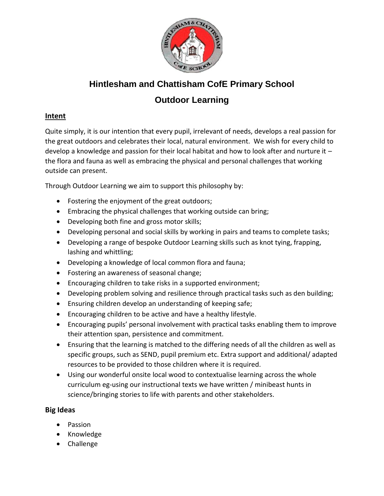

# **Hintlesham and Chattisham CofE Primary School Outdoor Learning**

## **Intent**

Quite simply, it is our intention that every pupil, irrelevant of needs, develops a real passion for the great outdoors and celebrates their local, natural environment. We wish for every child to develop a knowledge and passion for their local habitat and how to look after and nurture it – the flora and fauna as well as embracing the physical and personal challenges that working outside can present.

Through Outdoor Learning we aim to support this philosophy by:

- Fostering the enjoyment of the great outdoors;
- Embracing the physical challenges that working outside can bring;
- Developing both fine and gross motor skills;
- Developing personal and social skills by working in pairs and teams to complete tasks;
- Developing a range of bespoke Outdoor Learning skills such as knot tying, frapping, lashing and whittling;
- Developing a knowledge of local common flora and fauna;
- Fostering an awareness of seasonal change;
- Encouraging children to take risks in a supported environment;
- Developing problem solving and resilience through practical tasks such as den building;
- Ensuring children develop an understanding of keeping safe;
- Encouraging children to be active and have a healthy lifestyle.
- Encouraging pupils' personal involvement with practical tasks enabling them to improve their attention span, persistence and commitment.
- Ensuring that the learning is matched to the differing needs of all the children as well as specific groups, such as SEND, pupil premium etc. Extra support and additional/ adapted resources to be provided to those children where it is required.
- Using our wonderful onsite local wood to contextualise learning across the whole curriculum eg-using our instructional texts we have written / minibeast hunts in science/bringing stories to life with parents and other stakeholders.

## **Big Ideas**

- Passion
- Knowledge
- Challenge